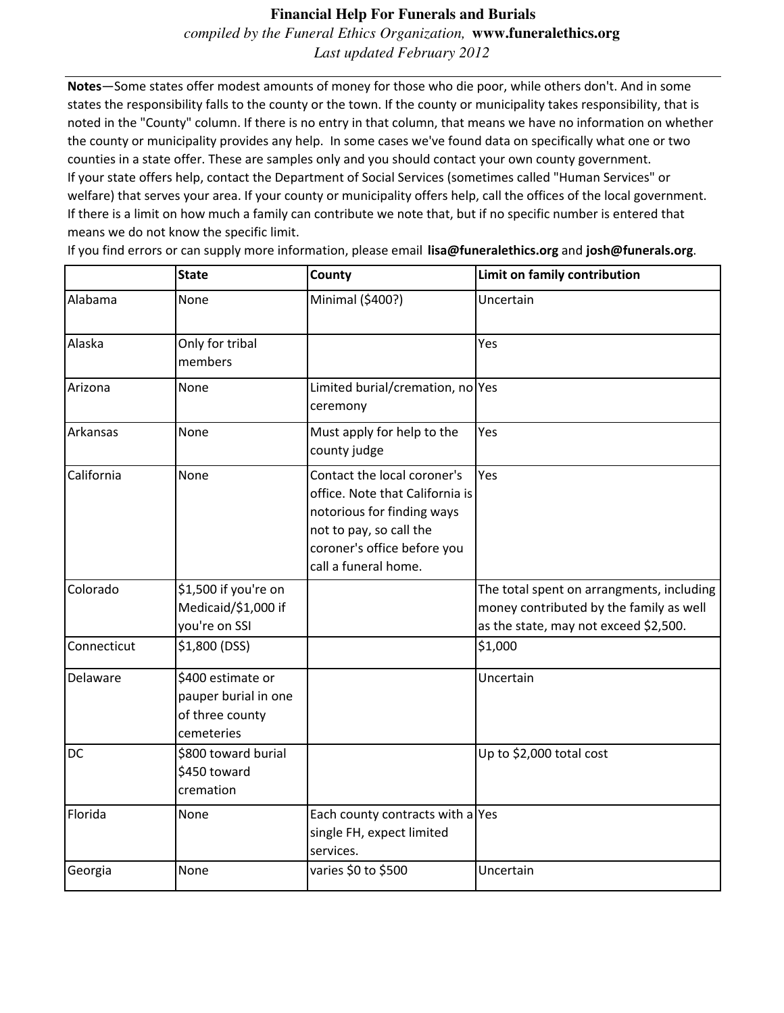*compiled by the Funeral Ethics Organization,* **www.funeralethics.org** *Last updated February 2012*

Notes—Some states offer modest amounts of money for those who die poor, while others don't. And in some states the responsibility falls to the county or the town. If the county or municipality takes responsibility, that is noted in the "County" column. If there is no entry in that column, that means we have no information on whether the county or municipality provides any help. In some cases we've found data on specifically what one or two counties in a state offer. These are samples only and you should contact your own county government. If your state offers help, contact the Department of Social Services (sometimes called "Human Services" or welfare) that serves your area. If your county or municipality offers help, call the offices of the local government. If there is a limit on how much a family can contribute we note that, but if no specific number is entered that means we do not know the specific limit.

If you find errors or can supply more information, please email lisa@funeralethics.org and josh@funerals.org.

|             | <b>State</b>                                                               | County                                                                                                                                                                         | Limit on family contribution                                                                                                  |
|-------------|----------------------------------------------------------------------------|--------------------------------------------------------------------------------------------------------------------------------------------------------------------------------|-------------------------------------------------------------------------------------------------------------------------------|
| Alabama     | None                                                                       | Minimal (\$400?)                                                                                                                                                               | Uncertain                                                                                                                     |
| Alaska      | Only for tribal<br>members                                                 |                                                                                                                                                                                | Yes                                                                                                                           |
| Arizona     | None                                                                       | Limited burial/cremation, no Yes<br>ceremony                                                                                                                                   |                                                                                                                               |
| Arkansas    | None                                                                       | Must apply for help to the<br>county judge                                                                                                                                     | Yes                                                                                                                           |
| California  | None                                                                       | Contact the local coroner's<br>office. Note that California is<br>notorious for finding ways<br>not to pay, so call the<br>coroner's office before you<br>call a funeral home. | Yes                                                                                                                           |
| Colorado    | \$1,500 if you're on<br>Medicaid/\$1,000 if<br>you're on SSI               |                                                                                                                                                                                | The total spent on arrangments, including<br>money contributed by the family as well<br>as the state, may not exceed \$2,500. |
| Connecticut | \$1,800 (DSS)                                                              |                                                                                                                                                                                | \$1,000                                                                                                                       |
| Delaware    | \$400 estimate or<br>pauper burial in one<br>of three county<br>cemeteries |                                                                                                                                                                                | Uncertain                                                                                                                     |
| DC          | \$800 toward burial<br>\$450 toward<br>cremation                           |                                                                                                                                                                                | Up to \$2,000 total cost                                                                                                      |
| Florida     | None                                                                       | Each county contracts with a Yes<br>single FH, expect limited<br>services.                                                                                                     |                                                                                                                               |
| Georgia     | None                                                                       | varies \$0 to \$500                                                                                                                                                            | Uncertain                                                                                                                     |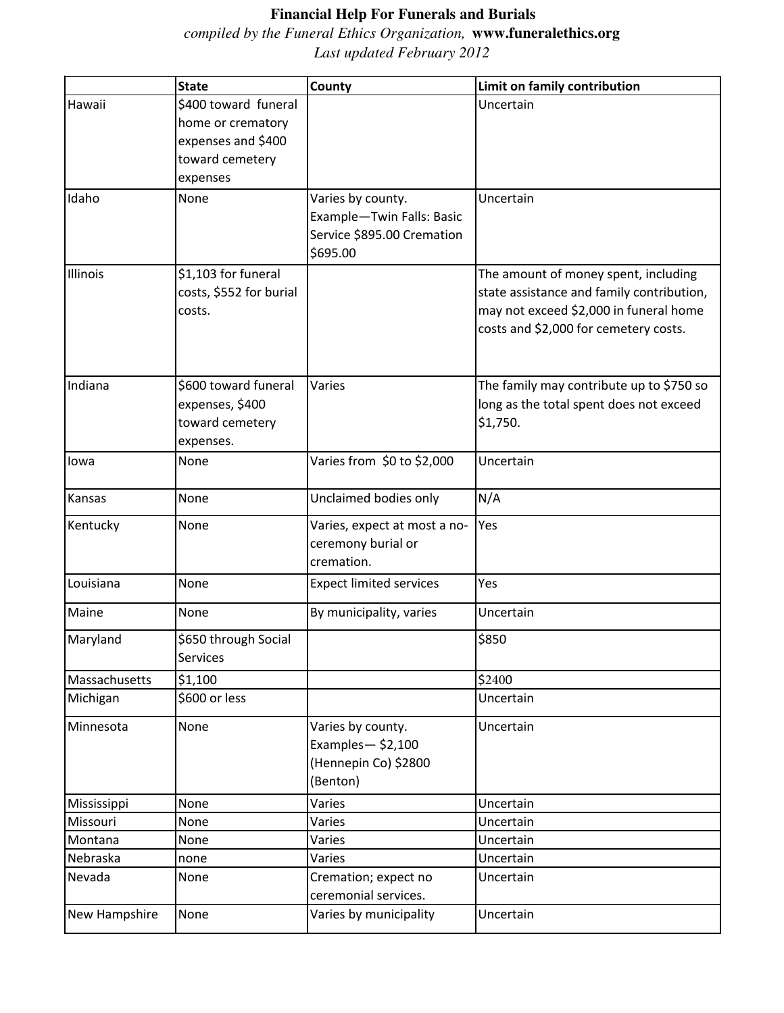*compiled by the Funeral Ethics Organization,* **www.funeralethics.org**

*Last updated February 2012*

|               | <b>State</b>            | County                         | Limit on family contribution              |
|---------------|-------------------------|--------------------------------|-------------------------------------------|
| Hawaii        | \$400 toward funeral    |                                | Uncertain                                 |
|               | home or crematory       |                                |                                           |
|               | expenses and \$400      |                                |                                           |
|               | toward cemetery         |                                |                                           |
|               | expenses                |                                |                                           |
| Idaho         | None                    | Varies by county.              | Uncertain                                 |
|               |                         | Example-Twin Falls: Basic      |                                           |
|               |                         | Service \$895.00 Cremation     |                                           |
|               |                         | \$695.00                       |                                           |
| Illinois      | \$1,103 for funeral     |                                | The amount of money spent, including      |
|               | costs, \$552 for burial |                                | state assistance and family contribution, |
|               | costs.                  |                                | may not exceed \$2,000 in funeral home    |
|               |                         |                                | costs and \$2,000 for cemetery costs.     |
|               |                         |                                |                                           |
|               |                         |                                |                                           |
| Indiana       | \$600 toward funeral    | Varies                         | The family may contribute up to \$750 so  |
|               | expenses, \$400         |                                | long as the total spent does not exceed   |
|               | toward cemetery         |                                | \$1,750.                                  |
|               | expenses.               |                                |                                           |
| lowa          | None                    | Varies from \$0 to \$2,000     | Uncertain                                 |
|               |                         |                                |                                           |
| Kansas        | None                    | Unclaimed bodies only          | N/A                                       |
| Kentucky      | None                    | Varies, expect at most a no-   | Yes                                       |
|               |                         | ceremony burial or             |                                           |
|               |                         | cremation.                     |                                           |
| Louisiana     | None                    | <b>Expect limited services</b> | Yes                                       |
| Maine         | None                    | By municipality, varies        | Uncertain                                 |
| Maryland      | \$650 through Social    |                                | \$850                                     |
|               | Services                |                                |                                           |
| Massachusetts | \$1,100                 |                                | \$2400                                    |
| Michigan      | \$600 or less           |                                | Uncertain                                 |
| Minnesota     | None                    | Varies by county.              | Uncertain                                 |
|               |                         | Examples- $$2,100$             |                                           |
|               |                         | (Hennepin Co) \$2800           |                                           |
|               |                         | (Benton)                       |                                           |
| Mississippi   | None                    | Varies                         | Uncertain                                 |
| Missouri      | None                    | Varies                         | Uncertain                                 |
| Montana       | None                    | Varies                         | Uncertain                                 |
| Nebraska      | none                    | Varies                         | Uncertain                                 |
| Nevada        | None                    | Cremation; expect no           | Uncertain                                 |
|               |                         | ceremonial services.           |                                           |
| New Hampshire | None                    | Varies by municipality         | Uncertain                                 |
|               |                         |                                |                                           |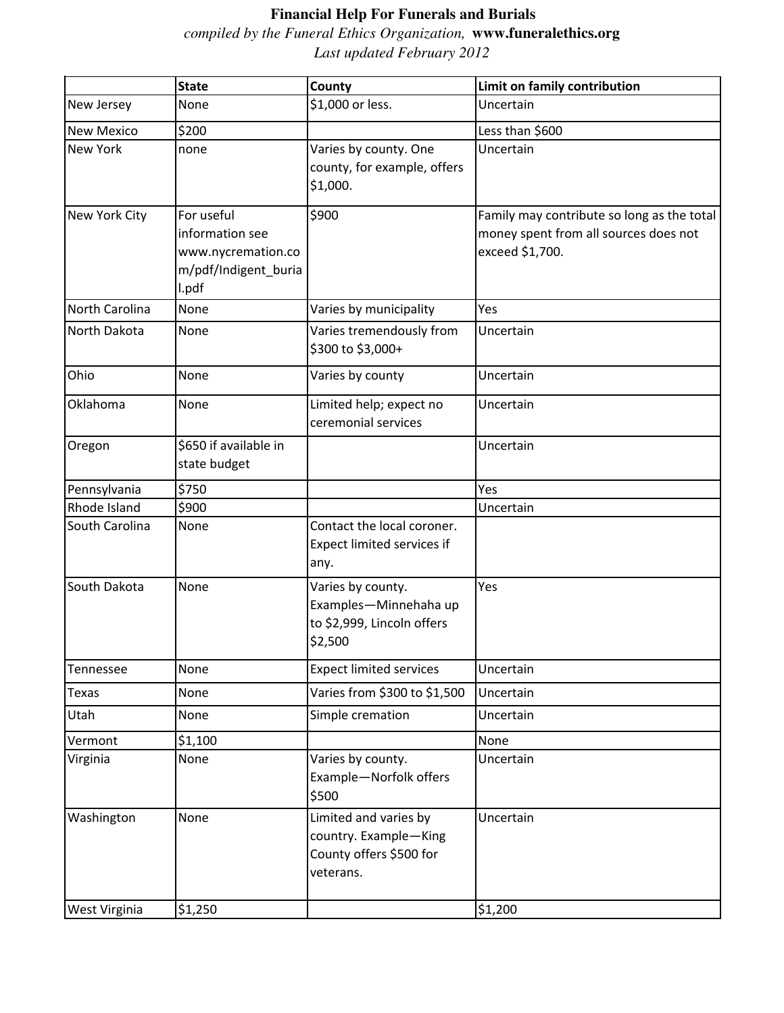*compiled by the Funeral Ethics Organization,* **www.funeralethics.org**

*Last updated February 2012*

|                   | <b>State</b>                                                                         | County                                                                                 | Limit on family contribution                                                                           |
|-------------------|--------------------------------------------------------------------------------------|----------------------------------------------------------------------------------------|--------------------------------------------------------------------------------------------------------|
| New Jersey        | None                                                                                 | \$1,000 or less.                                                                       | Uncertain                                                                                              |
| <b>New Mexico</b> | \$200                                                                                |                                                                                        | Less than \$600                                                                                        |
| <b>New York</b>   | none                                                                                 | Varies by county. One<br>county, for example, offers<br>\$1,000.                       | Uncertain                                                                                              |
| New York City     | For useful<br>information see<br>www.nycremation.co<br>m/pdf/Indigent_buria<br>I.pdf | \$900                                                                                  | Family may contribute so long as the total<br>money spent from all sources does not<br>exceed \$1,700. |
| North Carolina    | None                                                                                 | Varies by municipality                                                                 | Yes                                                                                                    |
| North Dakota      | None                                                                                 | Varies tremendously from<br>\$300 to \$3,000+                                          | Uncertain                                                                                              |
| Ohio              | None                                                                                 | Varies by county                                                                       | Uncertain                                                                                              |
| Oklahoma          | None                                                                                 | Limited help; expect no<br>ceremonial services                                         | Uncertain                                                                                              |
| Oregon            | \$650 if available in<br>state budget                                                |                                                                                        | Uncertain                                                                                              |
| Pennsylvania      | \$750                                                                                |                                                                                        | Yes                                                                                                    |
| Rhode Island      | \$900                                                                                |                                                                                        | Uncertain                                                                                              |
| South Carolina    | None                                                                                 | Contact the local coroner.<br>Expect limited services if<br>any.                       |                                                                                                        |
| South Dakota      | None                                                                                 | Varies by county.<br>Examples-Minnehaha up<br>to \$2,999, Lincoln offers<br>\$2,500    | Yes                                                                                                    |
| Tennessee         | None                                                                                 | <b>Expect limited services</b>                                                         | Uncertain                                                                                              |
| <b>Texas</b>      | None                                                                                 | Varies from \$300 to \$1,500                                                           | Uncertain                                                                                              |
| Utah              | None                                                                                 | Simple cremation                                                                       | Uncertain                                                                                              |
| Vermont           | \$1,100                                                                              |                                                                                        | None                                                                                                   |
| Virginia          | None                                                                                 | Varies by county.<br>Example-Norfolk offers<br>\$500                                   | Uncertain                                                                                              |
| Washington        | None                                                                                 | Limited and varies by<br>country. Example-King<br>County offers \$500 for<br>veterans. | Uncertain                                                                                              |
| West Virginia     | \$1,250                                                                              |                                                                                        | \$1,200                                                                                                |